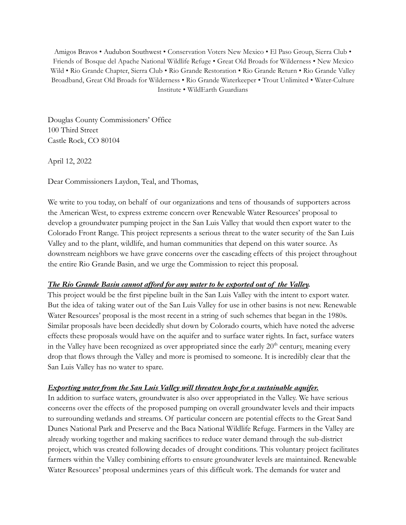Amigos Bravos • Audubon Southwest • Conservation Voters New Mexico • El Paso Group, Sierra Club • Friends of Bosque del Apache National Wildlife Refuge • Great Old Broads for Wilderness • New Mexico Wild • Rio Grande Chapter, Sierra Club • Rio Grande Restoration • Rio Grande Return • Rio Grande Valley Broadband, Great Old Broads for Wilderness • Rio Grande Waterkeeper • Trout Unlimited • Water-Culture Institute • WildEarth Guardians

Douglas County Commissioners' Office 100 Third Street Castle Rock, CO 80104

April 12, 2022

Dear Commissioners Laydon, Teal, and Thomas,

We write to you today, on behalf of our organizations and tens of thousands of supporters across the American West, to express extreme concern over Renewable Water Resources' proposal to develop a groundwater pumping project in the San Luis Valley that would then export water to the Colorado Front Range. This project represents a serious threat to the water security of the San Luis Valley and to the plant, wildlife, and human communities that depend on this water source. As downstream neighbors we have grave concerns over the cascading effects of this project throughout the entire Rio Grande Basin, and we urge the Commission to reject this proposal.

## *The Rio Grande Basin cannot afford for any water to be exported out of the Valley.*

This project would be the first pipeline built in the San Luis Valley with the intent to export water. But the idea of taking water out of the San Luis Valley for use in other basins is not new. Renewable Water Resources' proposal is the most recent in a string of such schemes that began in the 1980s. Similar proposals have been decidedly shut down by Colorado courts, which have noted the adverse effects these proposals would have on the aquifer and to surface water rights. In fact, surface waters in the Valley have been recognized as over appropriated since the early  $20<sup>th</sup>$  century, meaning every drop that flows through the Valley and more is promised to someone. It is incredibly clear that the San Luis Valley has no water to spare.

## *Exporting water from the San Luis Valley will threaten hope for a sustainable aquifer.*

In addition to surface waters, groundwater is also over appropriated in the Valley. We have serious concerns over the effects of the proposed pumping on overall groundwater levels and their impacts to surrounding wetlands and streams. Of particular concern are potential effects to the Great Sand Dunes National Park and Preserve and the Baca National Wildlife Refuge. Farmers in the Valley are already working together and making sacrifices to reduce water demand through the sub-district project, which was created following decades of drought conditions. This voluntary project facilitates farmers within the Valley combining efforts to ensure groundwater levels are maintained. Renewable Water Resources' proposal undermines years of this difficult work. The demands for water and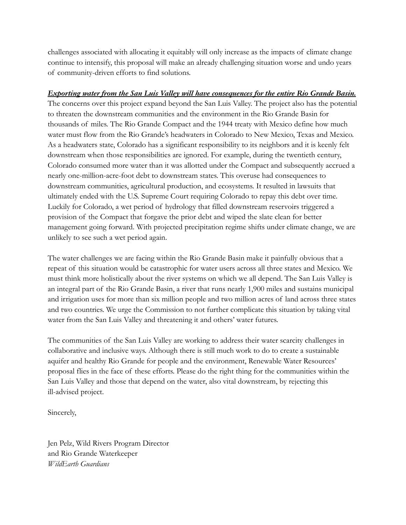challenges associated with allocating it equitably will only increase as the impacts of climate change continue to intensify, this proposal will make an already challenging situation worse and undo years of community-driven efforts to find solutions.

## *Exporting water from the San Luis Valley will have consequences for the entire Rio Grande Basin.*

The concerns over this project expand beyond the San Luis Valley. The project also has the potential to threaten the downstream communities and the environment in the Rio Grande Basin for thousands of miles. The Rio Grande Compact and the 1944 treaty with Mexico define how much water must flow from the Rio Grande's headwaters in Colorado to New Mexico, Texas and Mexico. As a headwaters state, Colorado has a significant responsibility to its neighbors and it is keenly felt downstream when those responsibilities are ignored. For example, during the twentieth century, Colorado consumed more water than it was allotted under the Compact and subsequently accrued a nearly one-million-acre-foot debt to downstream states. This overuse had consequences to downstream communities, agricultural production, and ecosystems. It resulted in lawsuits that ultimately ended with the U.S. Supreme Court requiring Colorado to repay this debt over time. Luckily for Colorado, a wet period of hydrology that filled downstream reservoirs triggered a provision of the Compact that forgave the prior debt and wiped the slate clean for better management going forward. With projected precipitation regime shifts under climate change, we are unlikely to see such a wet period again.

The water challenges we are facing within the Rio Grande Basin make it painfully obvious that a repeat of this situation would be catastrophic for water users across all three states and Mexico. We must think more holistically about the river systems on which we all depend. The San Luis Valley is an integral part of the Rio Grande Basin, a river that runs nearly 1,900 miles and sustains municipal and irrigation uses for more than six million people and two million acres of land across three states and two countries. We urge the Commission to not further complicate this situation by taking vital water from the San Luis Valley and threatening it and others' water futures.

The communities of the San Luis Valley are working to address their water scarcity challenges in collaborative and inclusive ways. Although there is still much work to do to create a sustainable aquifer and healthy Rio Grande for people and the environment, Renewable Water Resources' proposal flies in the face of these efforts. Please do the right thing for the communities within the San Luis Valley and those that depend on the water, also vital downstream, by rejecting this ill-advised project.

Sincerely,

Jen Pelz, Wild Rivers Program Director and Rio Grande Waterkeeper *WildEarth Guardians*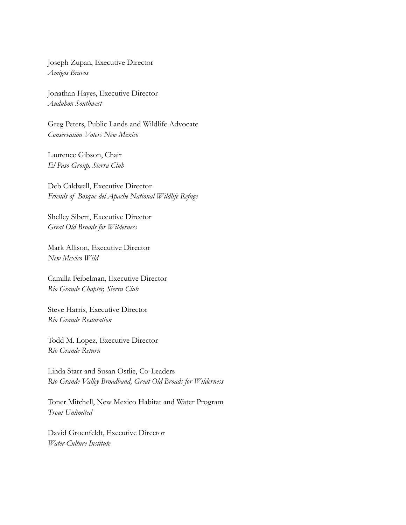Joseph Zupan, Executive Director *Amigos Bravos*

Jonathan Hayes, Executive Director *Audubon Southwest*

Greg Peters, Public Lands and Wildlife Advocate *Conservation Voters New Mexico*

Laurence Gibson, Chair *El Paso Group, Sierra Club*

Deb Caldwell, Executive Director *Friends of Bosque del Apache National Wildlife Refuge*

Shelley Sibert, Executive Director *Great Old Broads for Wilderness*

Mark Allison, Executive Director *New Mexico Wild*

Camilla Feibelman, Executive Director *Rio Grande Chapter, Sierra Club*

Steve Harris, Executive Director *Rio Grande Restoration*

Todd M. Lopez, Executive Director *Rio Grande Return*

Linda Starr and Susan Ostlie, Co-Leaders *Rio Grande Valley Broadband, Great Old Broads for Wilderness*

Toner Mitchell, New Mexico Habitat and Water Program *Trout Unlimited*

David Groenfeldt, Executive Director *Water-Culture Institute*